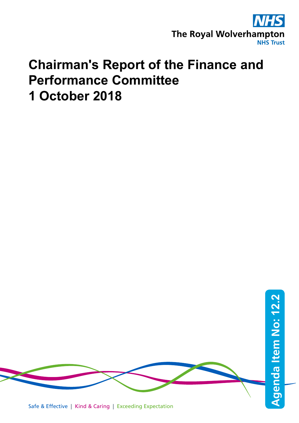

# **Chairman's Report of the Finance and Performance Committee 1 October 2018**

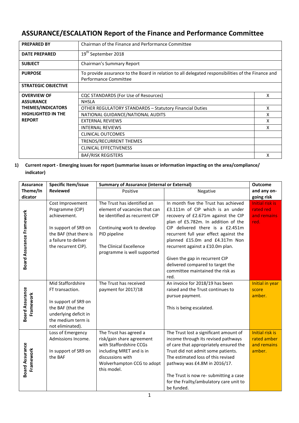## **ASSURANCE/ESCALATION Report of the Finance and Performance Committee**

| <b>PREPARED BY</b>                                                                         | Chairman of the Finance and Performance Committee                                                                           |   |  |
|--------------------------------------------------------------------------------------------|-----------------------------------------------------------------------------------------------------------------------------|---|--|
| <b>DATE PREPARED</b>                                                                       | 19 <sup>th</sup> September 2018                                                                                             |   |  |
| <b>SUBJECT</b>                                                                             | Chairman's Summary Report                                                                                                   |   |  |
| <b>PURPOSE</b>                                                                             | To provide assurance to the Board in relation to all delegated responsibilities of the Finance and<br>Performance Committee |   |  |
| <b>STRATEGIC OBJECTIVE</b>                                                                 |                                                                                                                             |   |  |
| <b>OVERVIEW OF</b>                                                                         | CQC STANDARDS (For Use of Resources)                                                                                        | X |  |
| <b>ASSURANCE</b>                                                                           | <b>NHSLA</b>                                                                                                                |   |  |
| <b>THEMES/INDICATORS</b><br><b>OTHER REGULATORY STANDARDS - Statutory Financial Duties</b> |                                                                                                                             | X |  |
| <b>HIGHLIGHTED IN THE</b>                                                                  | NATIONAL GUIDANCE/NATIONAL AUDITS                                                                                           | x |  |
| <b>REPORT</b>                                                                              | <b>EXTERNAL REVIEWS</b>                                                                                                     | x |  |
|                                                                                            | <b>INTERNAL REVIEWS</b>                                                                                                     | x |  |
|                                                                                            | <b>CLINICAL OUTCOMES</b>                                                                                                    |   |  |
|                                                                                            | TRENDS/RECURRENT THEMES                                                                                                     |   |  |
|                                                                                            | <b>CLINICAL EFFECTIVENESS</b>                                                                                               |   |  |
|                                                                                            | <b>BAF/RISK REGISTERS</b>                                                                                                   | X |  |

### **1) Current report - Emerging issues for report (summarise issues or information impacting on the area/compliance/ indicator)**

| <b>Assurance</b>                    | <b>Specific Item/issue</b>                                                                                                                           | <b>Summary of Assurance (internal or External)</b>                                                                                                                                                     |                                                                                                                                                                                                                                                                                                                                                                                                                              | <b>Outcome</b>                                             |
|-------------------------------------|------------------------------------------------------------------------------------------------------------------------------------------------------|--------------------------------------------------------------------------------------------------------------------------------------------------------------------------------------------------------|------------------------------------------------------------------------------------------------------------------------------------------------------------------------------------------------------------------------------------------------------------------------------------------------------------------------------------------------------------------------------------------------------------------------------|------------------------------------------------------------|
| Theme/In                            | <b>Reviewed</b>                                                                                                                                      | Positive                                                                                                                                                                                               | Negative                                                                                                                                                                                                                                                                                                                                                                                                                     | and any on-                                                |
| dicator                             |                                                                                                                                                      |                                                                                                                                                                                                        |                                                                                                                                                                                                                                                                                                                                                                                                                              | going risk                                                 |
| <b>Board Assurance Framework</b>    | Cost Improvement<br>Programme (CIP)<br>achievement.<br>In support of SR9 on<br>the BAF (that there is<br>a failure to deliver<br>the recurrent CIP). | The Trust has identified an<br>element of vacancies that can<br>be identified as recurrent CIP<br>Continuing work to develop<br>PID pipeline<br>The Clinical Excellence<br>programme is well supported | In month five the Trust has achieved<br>£3.111m of CIP which is an under<br>recovery of £2.671m against the CIP<br>plan of £5.782m. In addition of the<br>CIP delivered there is a £2.451m<br>recurrent full year effect against the<br>planned £15.0m and £4.317m Non<br>recurrent against a £10.0m plan.<br>Given the gap in recurrent CIP<br>delivered compared to target the<br>committee maintained the risk as<br>red. | <b>Initial risk is</b><br>rated red<br>and remains<br>red. |
| <b>Board Assurance</b><br>Framework | Mid Staffordshire<br>FT transaction.<br>In support of SR9 on<br>the BAF (that the<br>underlying deficit in<br>the medium term is<br>not eliminated). | The Trust has received<br>payment for 2017/18                                                                                                                                                          | An invoice for 2018/19 has been<br>raised and the Trust continues to<br>pursue payment.<br>This is being escalated.                                                                                                                                                                                                                                                                                                          | Initial in year<br>score<br>amber.                         |
| <b>Board Assurance</b><br>Framework | Loss of Emergency<br>Admissions Income.<br>In support of SR9 on<br>the BAF                                                                           | The Trust has agreed a<br>risk/gain share agreement<br>with Staffordshire CCGs<br>including MRET and is in<br>discussions with<br>Wolverhampton CCG to adopt<br>this model.                            | The Trust lost a significant amount of<br>income through its revised pathways<br>of care that appropriately ensured the<br>Trust did not admit some patients.<br>The estimated loss of this revised<br>pathway was £4.8M in 2016/17.<br>The Trust is now re- submitting a case<br>for the Frailty/ambulatory care unit to<br>be funded.                                                                                      | Initial risk is<br>rated amber<br>and remains<br>amber.    |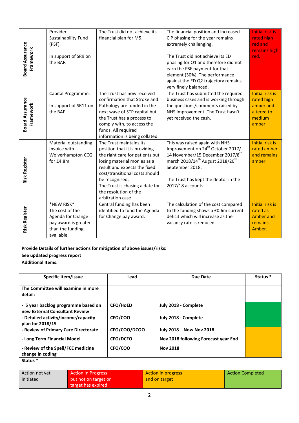|                                     | Provider<br>Sustainability Fund<br>(PSF).                                                                   | The Trust did not achieve its<br>financial plan for M5.                                                                                                                                                                                                                                        | The financial position and increased<br>CIP phasing for the year remains<br>extremely challenging.                                                                                                                                                                          | <b>Initial risk is</b><br>rated high<br>red and<br>remains high                     |
|-------------------------------------|-------------------------------------------------------------------------------------------------------------|------------------------------------------------------------------------------------------------------------------------------------------------------------------------------------------------------------------------------------------------------------------------------------------------|-----------------------------------------------------------------------------------------------------------------------------------------------------------------------------------------------------------------------------------------------------------------------------|-------------------------------------------------------------------------------------|
| <b>Board Assurance</b><br>Framework | In support of SR9 on<br>the BAF.                                                                            |                                                                                                                                                                                                                                                                                                | The Trust did not achieve its ED<br>phasing for Q1 and therefore did not<br>earn the PSF payment for that<br>element (30%). The performance<br>against the ED Q2 trajectory remains<br>very finely balanced.                                                                | red.                                                                                |
| <b>Board Assurance</b><br>Framework | Capital Programme.<br>In support of SR11 on<br>the BAF.                                                     | The Trust has now received<br>confirmation that Stroke and<br>Pathology are funded in the<br>next wave of STP capital but<br>the Trust has a process to<br>comply with, to access the                                                                                                          | The Trust has submitted the required<br>business cases and is working through<br>the questions/comments raised by<br>NHS Improvement. The Trust hasn't<br>yet received the cash.                                                                                            | <b>Initial risk is</b><br>rated high<br>amber and<br>altered to<br>medium<br>amber. |
|                                     |                                                                                                             | funds. All required<br>information is being collated.                                                                                                                                                                                                                                          |                                                                                                                                                                                                                                                                             |                                                                                     |
| <b>Risk Register</b>                | Material outstanding<br>Invoice with<br>Wolverhampton CCG<br>for £4.8m                                      | The Trust maintains its<br>position that it is providing<br>the right care for patients but<br>losing material monies as a<br>result and expects the fixed<br>cost/transitional costs should<br>be recognised.<br>The Trust is chasing a date for<br>the resolution of the<br>arbitration case | This was raised again with NHS<br>Improvement on 24 <sup>th</sup> October 2017/<br>14 November/15 December 2017/8 <sup>th</sup><br>march 2018/14 <sup>th</sup> August 2018/20 <sup>th</sup><br>September 2018.<br>The Trust has kept the debtor in the<br>2017/18 accounts. | <b>Initial risk is</b><br>rated amber<br>and remains<br>amber.                      |
| <b>Risk Register</b>                | *NEW RISK*<br>The cost of the<br>Agenda for Change<br>pay award is greater<br>than the funding<br>available | Central funding has been<br>identified to fund the Agenda<br>for Change pay award.                                                                                                                                                                                                             | The calculation of the cost compared<br>to the funding shows a £0.6m current<br>deficit which will increase as the<br>vacancy rate is reduced.                                                                                                                              | <b>Initial risk is</b><br>rated as<br><b>Amber and</b><br>remains<br>Amber.         |

### **Provide Details of further actions for mitigation of above issues/risks:**

## **See updated progress report**

**Additional Items:**

| Specific item/Issue                                                   | Lead            | Due Date                             | Status <sup>*</sup> |
|-----------------------------------------------------------------------|-----------------|--------------------------------------|---------------------|
| The Committee will examine in more<br>detail:                         |                 |                                      |                     |
| - 5 year backlog programme based on<br>new External Consultant Review | <b>CFO/HoED</b> | July 2018 - Complete                 |                     |
| - Detailed activity/income/capacity<br>plan for 2018/19               | CFO/COO         | July 2018 - Complete                 |                     |
| - Review of Primary Care Directorate                                  | CFO/COO/DCOO    | July 2018 - Now Nov 2018             |                     |
| - Long Term Financial Model                                           | <b>CFO/DCFO</b> | Nov 2018 following Forecast year End |                     |
| - Review of the Spell/FCE medicine<br>change in coding                | CFO/COO         | <b>Nov 2018</b>                      |                     |
| Status <sup>*</sup>                                                   |                 |                                      |                     |

| Action not yet | <b>Action In Progress</b> | Action in progress | <b>Action Completed</b> |
|----------------|---------------------------|--------------------|-------------------------|
| initiated      | but not on target or      | and on target      |                         |
|                | target has expired        |                    |                         |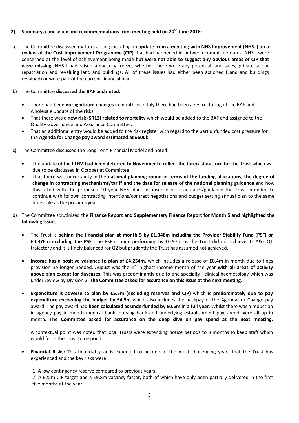### **2) Summary, conclusion and recommendations from meeting held on 20th June 2018:**

- a) The Committee discussed matters arising including an **update from a meeting with NHS Improvement (NHS I) on a review of the Cost Improvement Programme (CIP)** that had happened in between committee dates. NHS I were concerned at the level of achievement being made b**ut were not able to suggest any obvious areas of CIP that were missing**. NHS I had raised a vacancy freeze, whether there were any potential land sales, private sector repatriation and revaluing land and buildings. All of these issues had either been actioned (Land and buildings revalued) or were part of the current financial plan.
- b) The Committee **discussed the BAF and noted:**
	- There had been **no significant changes** in month as in July there had been a restructuring of the BAF and wholesale update of the risks.
	- That there was a **new risk (SR12) related to mortality** which would be added to the BAF and assigned to the Quality Governance and Assurance Committee.
	- That an additional entry would be added to the risk register with regard to the part unfunded cost pressure for the **Agenda for Change pay award estimated at £600k**.
- c) The Committee discussed the Long Term Financial Model and noted:
	- The update of the **LTFM had been deferred to November to reflect the forecast outturn for the Trust** which was due to be discussed in October at Committee.
	- That there was uncertainty in the **national planning round in terms of the funding allocations, the degree of change in contracting mechanisms/tariff and the date for release of the national planning guidance** and how this fitted with the proposed 10 year NHS plan. In absence of clear dates/guidance the Trust intended to continue with its own contracting intentions/contract negotiations and budget setting annual plan to the same timescale as the previous year.
- d) The Committee scrutinised the **Finance Report and Supplementary Finance Report for Month 5 and highlighted the following issues**:
	- The Trust is **behind the financial plan at month 5 by £1.346m including the Provider Stability Fund (PSF) or £0.376m excluding the PSF**. The PSF is underperforming by £0.97m as the Trust did not achieve its A&E Q1 trajectory and it is finely balanced for Q2 but prudently the Trust has assumed not achieved.
	- **Income has a positive variance to plan of £4.254m**, which includes a release of £0.4m in month due to fines provision no longer needed. August was the 2<sup>nd</sup> highest income month of the year with all areas of activity **above plan except for daycases**. This was predominantly due to one specialty - clinical haemotology which was under review by Division 2. **The Committee asked for assurance on this issue at the next meeting.**
	- **Expenditure is adverse to plan by £5.5m (excluding reserves and CIP)** which is **predominately due to pay expenditure exceeding the budget by £4.5m** which also includes the backpay of the Agenda for Change pay award. The pay award had **been calculated as underfunded by £0.6m in a full year**. Whilst there was a reduction in agency pay in month medical bank, nursing bank and underlying establishment pay spend were all up in month. **The Committee asked for assurance on the deep dive on pay spend at the next meeting.**

A contextual point was noted that local Trusts were extending notice periods to 3 months to keep staff which would force the Trust to respond.

• **Financial Risks:** This financial year is expected to be one of the most challenging years that the Trust has experienced and the key risks were:

1) A low contingency reserve compared to previous years.

2) A £25m CIP target and a £9.8m vacancy factor, both of which have only been partially delivered in the first five months of the year.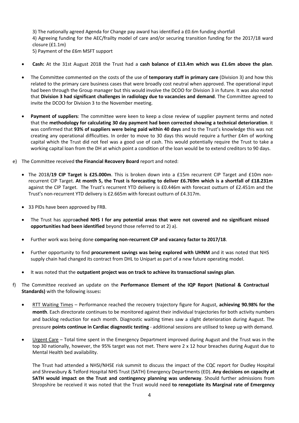3) The nationally agreed Agenda for Change pay award has identified a £0.6m funding shortfall 4) Agreeing funding for the AEC/frailty model of care and/or securing transition funding for the 2017/18 ward closure (£1.1m)

5) Payment of the £6m MSFT support

- **Cash:** At the 31st August 2018 the Trust had a **cash balance of £13.4m which was £1.6m above the plan**.
- The Committee commented on the costs of the use of **temporary staff in primary care** (Division 3) and how this related to the primary care business cases that were broadly cost neutral when approved. The operational input had been through the Group manager but this would involve the DCOO for Division 3 in future. It was also noted that **Division 3 had significant challenges in radiology due to vacancies and demand**. The Committee agreed to invite the DCOO for Division 3 to the November meeting.
- **Payment of suppliers**: The committee were keen to keep a close review of supplier payment terms and noted that the **methodology for calculating 30 day payment had been corrected showing a technical deterioration**. it was confirmed that **93% of suppliers were being paid within 40 days** and to the Trust's knowledge this was not creating any operational difficulties. In order to move to 30 days this would require a further £4m of working capital which the Trust did not feel was a good use of cash. This would potentially require the Trust to take a working capital loan from the DH at which point a condition of the loan would be to extend creditors to 90 days.
- e) The Committee received **the Financial Recovery Board** report and noted:
	- The 2018/**19 CIP Target is £25.000m**. This is broken down into a £15m recurrent CIP Target and £10m nonrecurrent CIP Target. **At month 5, the Trust is forecasting to deliver £6.769m which is a shortfall of £18.231m** against the CIP Target. The Trust's recurrent YTD delivery is £0.446m with forecast outturn of £2.451m and the Trust's non-recurrent YTD delivery is £2.665m with forecast outturn of £4.317m.
	- 33 PIDs have been approved by FRB.
	- The Trust has appro**ached NHS I for any potential areas that were not covered and no significant missed opportunities had been identified** beyond those referred to at 2) a).
	- Further work was being done **comparing non-recurrent CIP and vacancy factor to 2017/18**.
	- Further opportunity to find **procurement savings was being explored with UHNM** and it was noted that NHS supply chain had changed its contract from DHL to Unipart as part of a new future operating model.
	- It was noted that the **outpatient project was on track to achieve its transactional savings plan**.
- f) The Committee received an update on the **Performance Element of the IQP Report (National & Contractual Standards)** with the following issues**:**
	- RTT Waiting Times Performance reached the recovery trajectory figure for August, **achieving 90.98% for the month**. Each directorate continues to be monitored against their individual trajectories for both activity numbers and backlog reduction for each month. Diagnostic waiting times saw a slight deterioration during August. The pressure **points continue in Cardiac diagnostic testing** - additional sessions are utilised to keep up with demand.
	- Urgent Care Total time spent in the Emergency Department improved during August and the Trust was in the top 30 nationally, however, the 95% target was not met. There were 2 x 12 hour breaches during August due to Mental Health bed availability.

The Trust had attended a NHSI/NHSE risk summit to discuss the impact of the CQC report for Dudley Hospital and Shrewsbury & Telford Hospital NHS Trust (SATH) Emergency Departments (ED). **Any decisions on capacity at SATH would impact on the Trust and contingency planning was underway**. Should further admissions from Shropshire be received it was noted that the Trust would need **to renegotiate its Marginal rate of Emergency**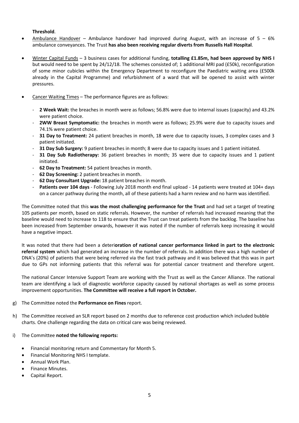### **Threshold**.

- Ambulance Handover Ambulance handover had improved during August, with an increase of  $5 6\%$ ambulance conveyances. The Trust **has also been receiving regular diverts from Russells Hall Hospital**.
- Winter Capital Funds 3 business cases for additional funding, **totalling £1.85m, had been approved by NHS I** but would need to be spent by 24/12/18. The schemes consisted of; 1 additional MRI pad (£50k), reconfiguration of some minor cubicles within the Emergency Department to reconfigure the Paediatric waiting area (£500k already in the Capital Programme) and refurbishment of a ward that will be opened to assist with winter pressures.
- Cancer Waiting Times The performance figures are as follows:
	- **2 Week Wait:** the breaches in month were as follows; 56.8% were due to internal issues (capacity) and 43.2% were patient choice.
	- **2WW Breast Symptomatic:** the breaches in month were as follows; 25.9% were due to capacity issues and 74.1% were patient choice.
	- **31 Day to Treatment:** 24 patient breaches in month, 18 were due to capacity issues, 3 complex cases and 3 patient initiated.
	- **31 Day Sub Surgery:** 9 patient breaches in month; 8 were due to capacity issues and 1 patient initiated.
	- **31 Day Sub Radiotherapy:** 36 patient breaches in month; 35 were due to capacity issues and 1 patient initiated.
	- **62 Day to Treatment:** 54 patient breaches in month.
	- **62 Day Screening:** 2 patient breaches in month.
	- **62 Day Consultant Upgrade:** 18 patient breaches in month.
	- **Patients over 104 days** Following July 2018 month end final upload 14 patients were treated at 104+ days on a cancer pathway during the month, all of these patients had a harm review and no harm was identified.

The Committee noted that this **was the most challenging performance for the Trust** and had set a target of treating 105 patients per month, based on static referrals. However, the number of referrals had increased meaning that the baseline would need to increase to 118 to ensure that the Trust can treat patients from the backlog. The baseline has been increased from September onwards, however it was noted if the number of referrals keep increasing it would have a negative impact.

It was noted that there had been a deteri**oration of national cancer performance linked in part to the electronic referral system** which had generated an increase in the number of referrals. In addition there was a high number of DNA's (20%) of patients that were being referred via the fast track pathway and it was believed that this was in part due to GPs not informing patients that this referral was for potential cancer treatment and therefore urgent.

The national Cancer Intensive Support Team are working with the Trust as well as the Cancer Alliance. The national team are identifying a lack of diagnostic workforce capacity caused by national shortages as well as some process improvement opportunities. **The Committee will receive a full report in October.**

#### g) The Committee noted the **Performance on Fines** report.

h) The Committee received an SLR report based on 2 months due to reference cost production which included bubble charts. One challenge regarding the data on critical care was being reviewed.

#### i) The Committee **noted the following reports:**

- Financial monitoring return and Commentary for Month 5.
- Financial Monitoring NHS I template.
- Annual Work Plan.
- Finance Minutes.
- Capital Report.